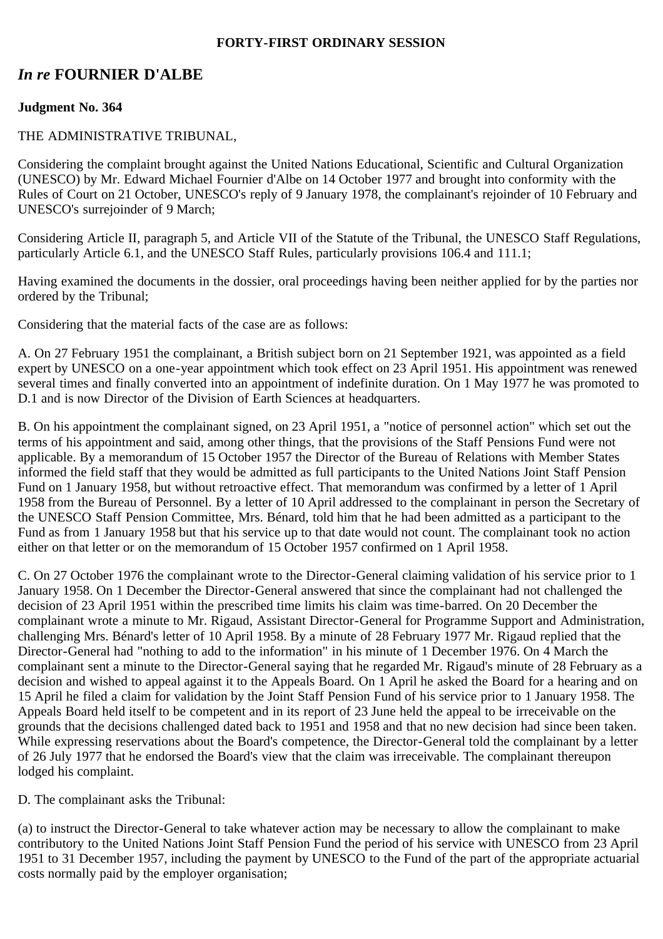#### **FORTY-FIRST ORDINARY SESSION**

# *In re* **FOURNIER D'ALBE**

## **Judgment No. 364**

#### THE ADMINISTRATIVE TRIBUNAL,

Considering the complaint brought against the United Nations Educational, Scientific and Cultural Organization (UNESCO) by Mr. Edward Michael Fournier d'Albe on 14 October 1977 and brought into conformity with the Rules of Court on 21 October, UNESCO's reply of 9 January 1978, the complainant's rejoinder of 10 February and UNESCO's surrejoinder of 9 March;

Considering Article II, paragraph 5, and Article VII of the Statute of the Tribunal, the UNESCO Staff Regulations, particularly Article 6.1, and the UNESCO Staff Rules, particularly provisions 106.4 and 111.1;

Having examined the documents in the dossier, oral proceedings having been neither applied for by the parties nor ordered by the Tribunal;

Considering that the material facts of the case are as follows:

A. On 27 February 1951 the complainant, a British subject born on 21 September 1921, was appointed as a field expert by UNESCO on a one-year appointment which took effect on 23 April 1951. His appointment was renewed several times and finally converted into an appointment of indefinite duration. On 1 May 1977 he was promoted to D.1 and is now Director of the Division of Earth Sciences at headquarters.

B. On his appointment the complainant signed, on 23 April 1951, a "notice of personnel action" which set out the terms of his appointment and said, among other things, that the provisions of the Staff Pensions Fund were not applicable. By a memorandum of 15 October 1957 the Director of the Bureau of Relations with Member States informed the field staff that they would be admitted as full participants to the United Nations Joint Staff Pension Fund on 1 January 1958, but without retroactive effect. That memorandum was confirmed by a letter of 1 April 1958 from the Bureau of Personnel. By a letter of 10 April addressed to the complainant in person the Secretary of the UNESCO Staff Pension Committee, Mrs. Bénard, told him that he had been admitted as a participant to the Fund as from 1 January 1958 but that his service up to that date would not count. The complainant took no action either on that letter or on the memorandum of 15 October 1957 confirmed on 1 April 1958.

C. On 27 October 1976 the complainant wrote to the Director-General claiming validation of his service prior to 1 January 1958. On 1 December the Director-General answered that since the complainant had not challenged the decision of 23 April 1951 within the prescribed time limits his claim was time-barred. On 20 December the complainant wrote a minute to Mr. Rigaud, Assistant Director-General for Programme Support and Administration, challenging Mrs. Bénard's letter of 10 April 1958. By a minute of 28 February 1977 Mr. Rigaud replied that the Director-General had "nothing to add to the information" in his minute of 1 December 1976. On 4 March the complainant sent a minute to the Director-General saying that he regarded Mr. Rigaud's minute of 28 February as a decision and wished to appeal against it to the Appeals Board. On 1 April he asked the Board for a hearing and on 15 April he filed a claim for validation by the Joint Staff Pension Fund of his service prior to 1 January 1958. The Appeals Board held itself to be competent and in its report of 23 June held the appeal to be irreceivable on the grounds that the decisions challenged dated back to 1951 and 1958 and that no new decision had since been taken. While expressing reservations about the Board's competence, the Director-General told the complainant by a letter of 26 July 1977 that he endorsed the Board's view that the claim was irreceivable. The complainant thereupon lodged his complaint.

D. The complainant asks the Tribunal:

(a) to instruct the Director-General to take whatever action may be necessary to allow the complainant to make contributory to the United Nations Joint Staff Pension Fund the period of his service with UNESCO from 23 April 1951 to 31 December 1957, including the payment by UNESCO to the Fund of the part of the appropriate actuarial costs normally paid by the employer organisation;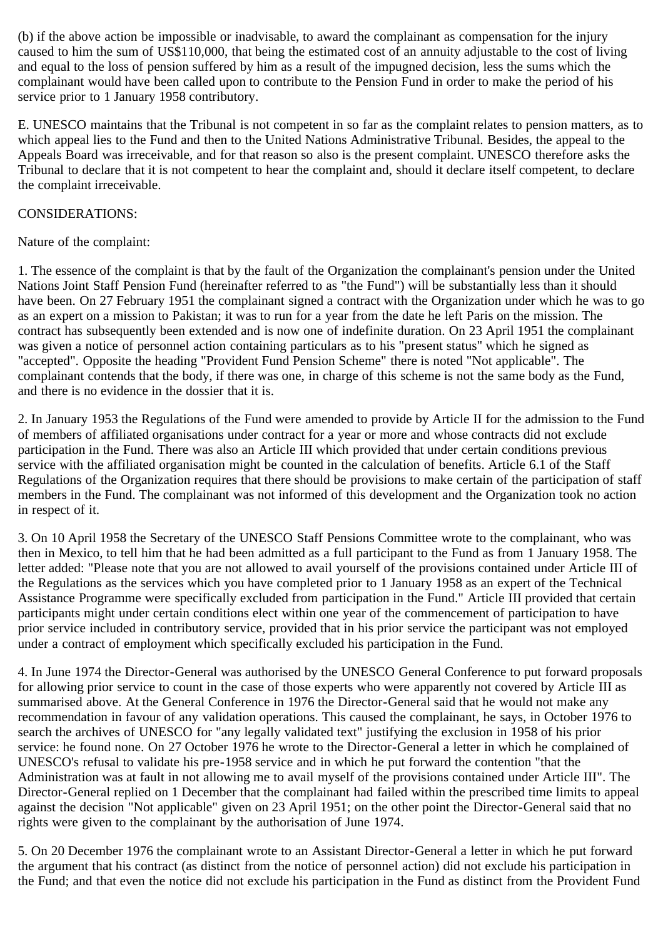(b) if the above action be impossible or inadvisable, to award the complainant as compensation for the injury caused to him the sum of US\$110,000, that being the estimated cost of an annuity adjustable to the cost of living and equal to the loss of pension suffered by him as a result of the impugned decision, less the sums which the complainant would have been called upon to contribute to the Pension Fund in order to make the period of his service prior to 1 January 1958 contributory.

E. UNESCO maintains that the Tribunal is not competent in so far as the complaint relates to pension matters, as to which appeal lies to the Fund and then to the United Nations Administrative Tribunal. Besides, the appeal to the Appeals Board was irreceivable, and for that reason so also is the present complaint. UNESCO therefore asks the Tribunal to declare that it is not competent to hear the complaint and, should it declare itself competent, to declare the complaint irreceivable.

## CONSIDERATIONS:

## Nature of the complaint:

1. The essence of the complaint is that by the fault of the Organization the complainant's pension under the United Nations Joint Staff Pension Fund (hereinafter referred to as "the Fund") will be substantially less than it should have been. On 27 February 1951 the complainant signed a contract with the Organization under which he was to go as an expert on a mission to Pakistan; it was to run for a year from the date he left Paris on the mission. The contract has subsequently been extended and is now one of indefinite duration. On 23 April 1951 the complainant was given a notice of personnel action containing particulars as to his "present status" which he signed as "accepted". Opposite the heading "Provident Fund Pension Scheme" there is noted "Not applicable". The complainant contends that the body, if there was one, in charge of this scheme is not the same body as the Fund, and there is no evidence in the dossier that it is.

2. In January 1953 the Regulations of the Fund were amended to provide by Article II for the admission to the Fund of members of affiliated organisations under contract for a year or more and whose contracts did not exclude participation in the Fund. There was also an Article III which provided that under certain conditions previous service with the affiliated organisation might be counted in the calculation of benefits. Article 6.1 of the Staff Regulations of the Organization requires that there should be provisions to make certain of the participation of staff members in the Fund. The complainant was not informed of this development and the Organization took no action in respect of it.

3. On 10 April 1958 the Secretary of the UNESCO Staff Pensions Committee wrote to the complainant, who was then in Mexico, to tell him that he had been admitted as a full participant to the Fund as from 1 January 1958. The letter added: "Please note that you are not allowed to avail yourself of the provisions contained under Article III of the Regulations as the services which you have completed prior to 1 January 1958 as an expert of the Technical Assistance Programme were specifically excluded from participation in the Fund." Article III provided that certain participants might under certain conditions elect within one year of the commencement of participation to have prior service included in contributory service, provided that in his prior service the participant was not employed under a contract of employment which specifically excluded his participation in the Fund.

4. In June 1974 the Director-General was authorised by the UNESCO General Conference to put forward proposals for allowing prior service to count in the case of those experts who were apparently not covered by Article III as summarised above. At the General Conference in 1976 the Director-General said that he would not make any recommendation in favour of any validation operations. This caused the complainant, he says, in October 1976 to search the archives of UNESCO for "any legally validated text" justifying the exclusion in 1958 of his prior service: he found none. On 27 October 1976 he wrote to the Director-General a letter in which he complained of UNESCO's refusal to validate his pre-1958 service and in which he put forward the contention "that the Administration was at fault in not allowing me to avail myself of the provisions contained under Article III". The Director-General replied on 1 December that the complainant had failed within the prescribed time limits to appeal against the decision "Not applicable" given on 23 April 1951; on the other point the Director-General said that no rights were given to the complainant by the authorisation of June 1974.

5. On 20 December 1976 the complainant wrote to an Assistant Director-General a letter in which he put forward the argument that his contract (as distinct from the notice of personnel action) did not exclude his participation in the Fund; and that even the notice did not exclude his participation in the Fund as distinct from the Provident Fund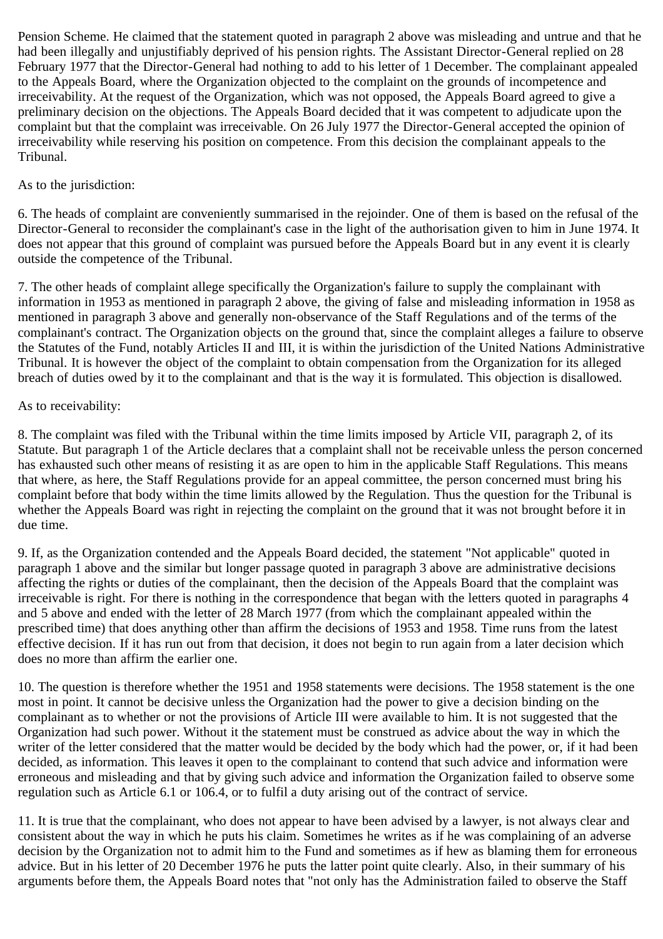Pension Scheme. He claimed that the statement quoted in paragraph 2 above was misleading and untrue and that he had been illegally and unjustifiably deprived of his pension rights. The Assistant Director-General replied on 28 February 1977 that the Director-General had nothing to add to his letter of 1 December. The complainant appealed to the Appeals Board, where the Organization objected to the complaint on the grounds of incompetence and irreceivability. At the request of the Organization, which was not opposed, the Appeals Board agreed to give a preliminary decision on the objections. The Appeals Board decided that it was competent to adjudicate upon the complaint but that the complaint was irreceivable. On 26 July 1977 the Director-General accepted the opinion of irreceivability while reserving his position on competence. From this decision the complainant appeals to the Tribunal.

## As to the jurisdiction:

6. The heads of complaint are conveniently summarised in the rejoinder. One of them is based on the refusal of the Director-General to reconsider the complainant's case in the light of the authorisation given to him in June 1974. It does not appear that this ground of complaint was pursued before the Appeals Board but in any event it is clearly outside the competence of the Tribunal.

7. The other heads of complaint allege specifically the Organization's failure to supply the complainant with information in 1953 as mentioned in paragraph 2 above, the giving of false and misleading information in 1958 as mentioned in paragraph 3 above and generally non-observance of the Staff Regulations and of the terms of the complainant's contract. The Organization objects on the ground that, since the complaint alleges a failure to observe the Statutes of the Fund, notably Articles II and III, it is within the jurisdiction of the United Nations Administrative Tribunal. It is however the object of the complaint to obtain compensation from the Organization for its alleged breach of duties owed by it to the complainant and that is the way it is formulated. This objection is disallowed.

#### As to receivability:

8. The complaint was filed with the Tribunal within the time limits imposed by Article VII, paragraph 2, of its Statute. But paragraph 1 of the Article declares that a complaint shall not be receivable unless the person concerned has exhausted such other means of resisting it as are open to him in the applicable Staff Regulations. This means that where, as here, the Staff Regulations provide for an appeal committee, the person concerned must bring his complaint before that body within the time limits allowed by the Regulation. Thus the question for the Tribunal is whether the Appeals Board was right in rejecting the complaint on the ground that it was not brought before it in due time.

9. If, as the Organization contended and the Appeals Board decided, the statement "Not applicable" quoted in paragraph 1 above and the similar but longer passage quoted in paragraph 3 above are administrative decisions affecting the rights or duties of the complainant, then the decision of the Appeals Board that the complaint was irreceivable is right. For there is nothing in the correspondence that began with the letters quoted in paragraphs 4 and 5 above and ended with the letter of 28 March 1977 (from which the complainant appealed within the prescribed time) that does anything other than affirm the decisions of 1953 and 1958. Time runs from the latest effective decision. If it has run out from that decision, it does not begin to run again from a later decision which does no more than affirm the earlier one.

10. The question is therefore whether the 1951 and 1958 statements were decisions. The 1958 statement is the one most in point. It cannot be decisive unless the Organization had the power to give a decision binding on the complainant as to whether or not the provisions of Article III were available to him. It is not suggested that the Organization had such power. Without it the statement must be construed as advice about the way in which the writer of the letter considered that the matter would be decided by the body which had the power, or, if it had been decided, as information. This leaves it open to the complainant to contend that such advice and information were erroneous and misleading and that by giving such advice and information the Organization failed to observe some regulation such as Article 6.1 or 106.4, or to fulfil a duty arising out of the contract of service.

11. It is true that the complainant, who does not appear to have been advised by a lawyer, is not always clear and consistent about the way in which he puts his claim. Sometimes he writes as if he was complaining of an adverse decision by the Organization not to admit him to the Fund and sometimes as if hew as blaming them for erroneous advice. But in his letter of 20 December 1976 he puts the latter point quite clearly. Also, in their summary of his arguments before them, the Appeals Board notes that "not only has the Administration failed to observe the Staff